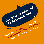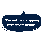# **"We will be scrapping over every penny"**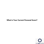### What Is Your Current Personal Score?

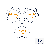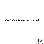#### What Are Your Current Customer Scores?

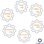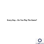## Every Day... Do You Play The Game?

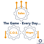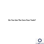### Do You Use The Core Four Tools?

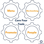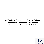Do You Have A Systematic Process To Keep The Business Moving Forward, Staying Flexible And Driving Profitability?

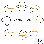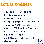# **ACTUAL EXAMPLES**

- £36,000 to £90,000 Net Profit - Yorkshire
- 0.5% Net to 18% Net
- Increase average transaction value by 10% - Leeds
- 8% to 16% London Speciality
- 8% to 18% South Coast Speciality Chain
- 66% Gross Profit to 79% Gross profit